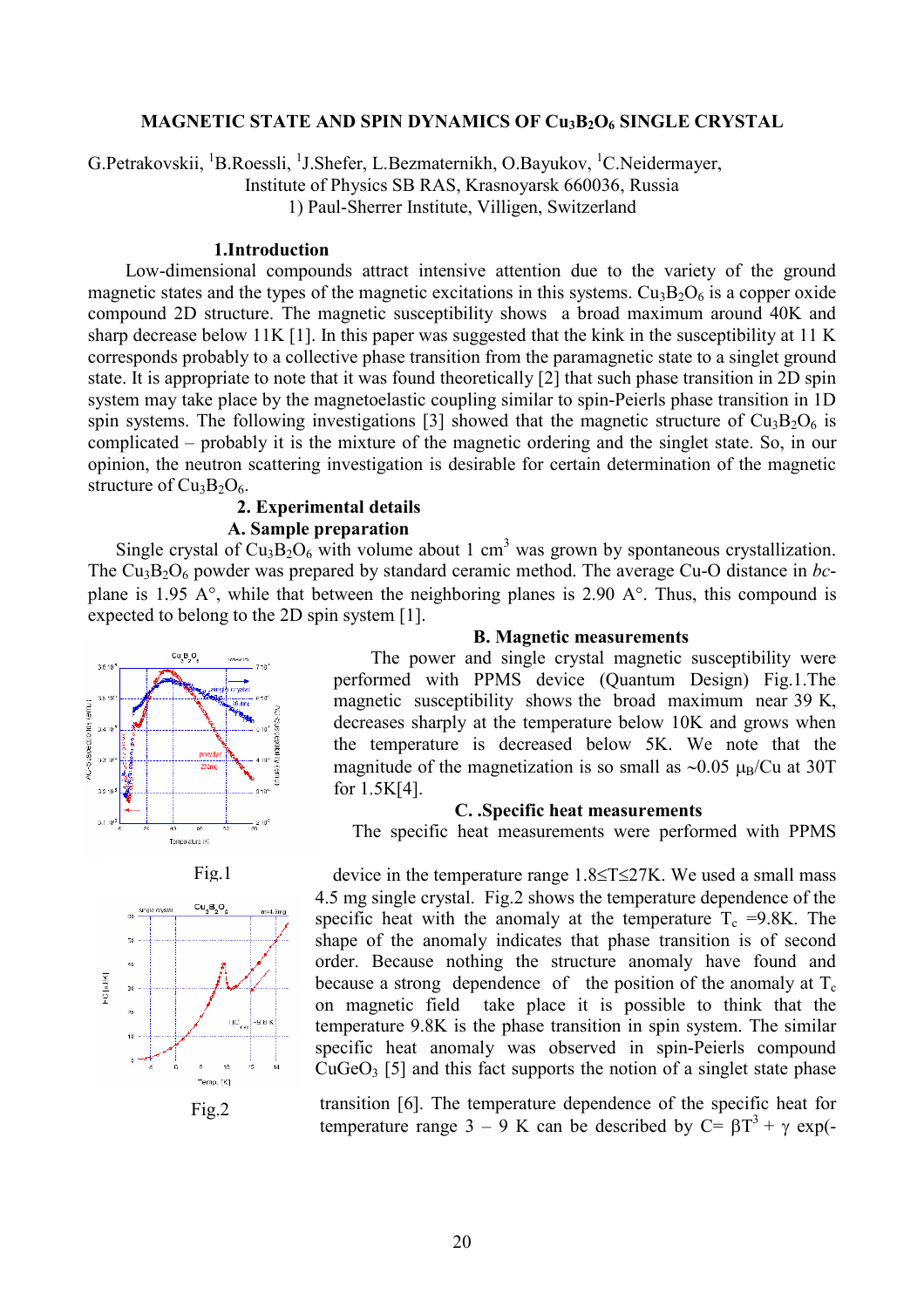#### **MAGNETIC STATE AND SPIN DYNAMICS OF Cu3B2O<sup>6</sup> SINGLE CRYSTAL**

G.Petrakovskii, <sup>1</sup>B.Roessli, <sup>1</sup>J.Shefer, L.Bezmaternikh, O.Bayukov, <sup>1</sup>C.Neidermayer,

Institute of Physics SB RAS, Krasnoyarsk 660036, Russia

1) Paul-Sherrer Institute, Villigen, Switzerland

# **1.Introduction**

 Low-dimensional compounds attract intensive attention due to the variety of the ground magnetic states and the types of the magnetic excitations in this systems.  $Cu<sub>3</sub>B<sub>2</sub>O<sub>6</sub>$  is a copper oxide compound 2D structure. The magnetic susceptibility shows a broad maximum around 40K and sharp decrease below 11K [1]. In this paper was suggested that the kink in the susceptibility at 11 K corresponds probably to a collective phase transition from the paramagnetic state to a singlet ground state. It is appropriate to note that it was found theoretically [2] that such phase transition in 2D spin system may take place by the magnetoelastic coupling similar to spin-Peierls phase transition in 1D spin systems. The following investigations [3] showed that the magnetic structure of  $Cu<sub>3</sub>B<sub>2</sub>O<sub>6</sub>$  is complicated – probably it is the mixture of the magnetic ordering and the singlet state. So, in our opinion, the neutron scattering investigation is desirable for certain determination of the magnetic structure of  $Cu<sub>3</sub>B<sub>2</sub>O<sub>6</sub>$ .

### **2. Experimental details A. Sample preparation**

Single crystal of  $Cu<sub>3</sub>B<sub>2</sub>O<sub>6</sub>$  with volume about 1 cm<sup>3</sup> was grown by spontaneous crystallization. The Cu<sub>3</sub>B<sub>2</sub>O<sub>6</sub> powder was prepared by standard ceramic method. The average Cu-O distance in *bc*plane is 1.95 A°, while that between the neighboring planes is 2.90 A°. Thus, this compound is expected to belong to the 2D spin system [1].





Fig.2

## **B. Magnetic measurements**

 The power and single crystal magnetic susceptibility were performed with PPMS device (Quantum Design) Fig.1.The magnetic susceptibility shows the broad maximum near 39 K, decreases sharply at the temperature below 10K and grows when the temperature is decreased below 5K. We note that the magnitude of the magnetization is so small as  $\sim 0.05 \mu_{\text{B}}/Cu$  at 30T for 1.5K[4].

### **C. .Specific heat measurements**

The specific heat measurements were performed with PPMS

device in the temperature range  $1.8 \le T \le 27K$ . We used a small mass 4.5 mg single crystal. Fig.2 shows the temperature dependence of the specific heat with the anomaly at the temperature  $T_c = 9.8K$ . The shape of the anomaly indicates that phase transition is of second order. Because nothing the structure anomaly have found and because a strong dependence of the position of the anomaly at  $T_c$ on magnetic field take place it is possible to think that the temperature 9.8K is the phase transition in spin system. The similar specific heat anomaly was observed in spin-Peierls compound  $CuGeO<sub>3</sub>$  [5] and this fact supports the notion of a singlet state phase

transition [6]. The temperature dependence of the specific heat for temperature range 3 – 9 K can be described by C=  $\beta T^3 + \gamma \exp(-\beta T^2)$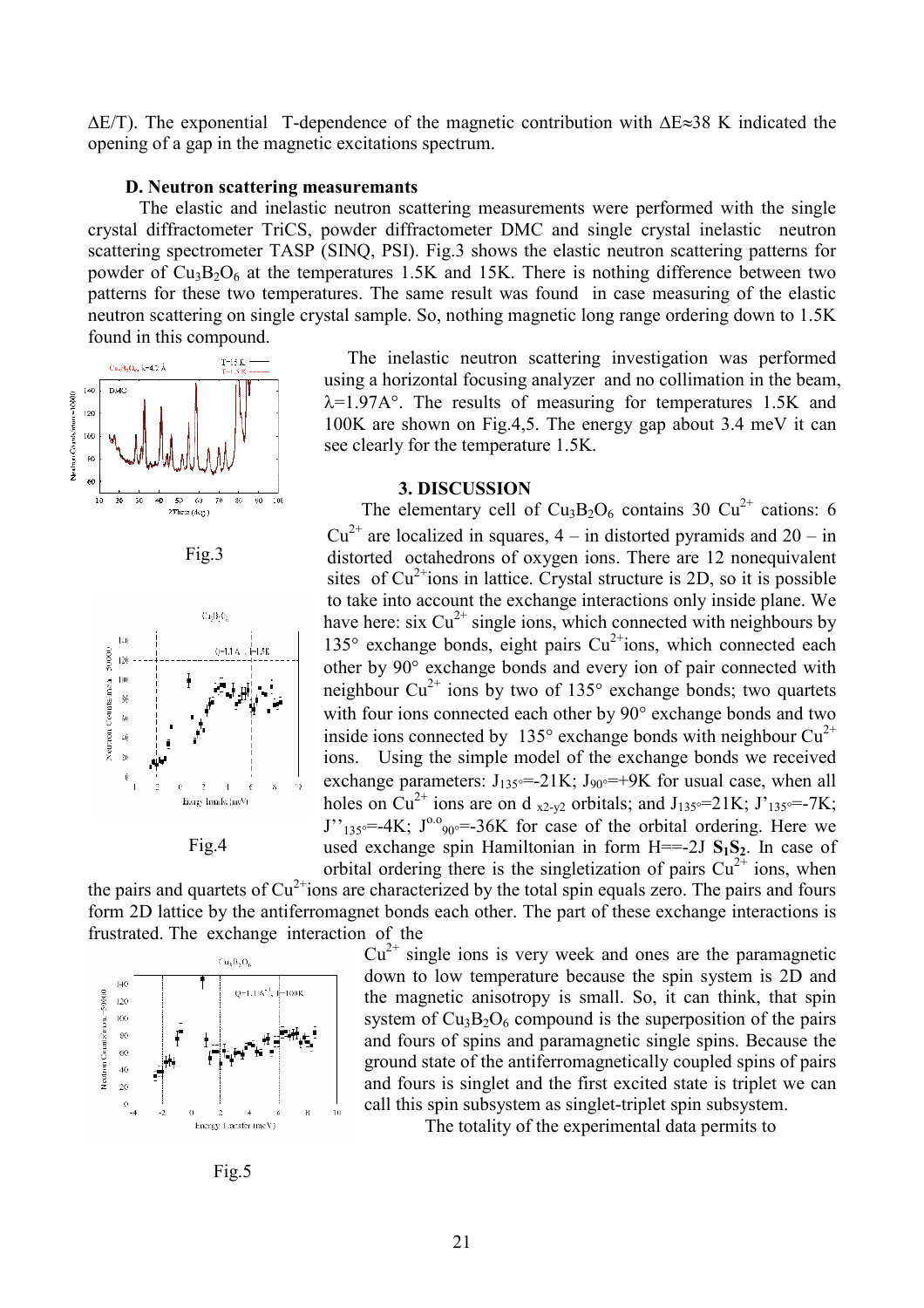$\Delta E/T$ ). The exponential T-dependence of the magnetic contribution with  $\Delta E \approx 38$  K indicated the opening of a gap in the magnetic excitations spectrum.

#### **D. Neutron scattering measuremants**

 The elastic and inelastic neutron scattering measurements were performed with the single crystal diffractometer TriCS, powder diffractometer DMC and single crystal inelastic neutron scattering spectrometer TASP (SINQ, PSI). Fig.3 shows the elastic neutron scattering patterns for powder of  $Cu<sub>3</sub>B<sub>2</sub>O<sub>6</sub>$  at the temperatures 1.5K and 15K. There is nothing difference between two patterns for these two temperatures. The same result was found in case measuring of the elastic neutron scattering on single crystal sample. So, nothing magnetic long range ordering down to 1.5K found in this compound.



Fig.3



Fig.4

 The inelastic neutron scattering investigation was performed using a horizontal focusing analyzer and no collimation in the beam,  $\lambda$ =1.97A°. The results of measuring for temperatures 1.5K and 100K are shown on Fig.4,5. The energy gap about 3.4 meV it can see clearly for the temperature 1.5K.

### **3. DISCUSSION**

The elementary cell of  $Cu<sub>3</sub>B<sub>2</sub>O<sub>6</sub>$  contains 30  $Cu<sup>2+</sup>$  cations: 6  $Cu^{2+}$  are localized in squares, 4 – in distorted pyramids and 20 – in distorted octahedrons of oxygen ions. There are 12 nonequivalent sites of  $Cu^{2+}$ ions in lattice. Crystal structure is 2D, so it is possible to take into account the exchange interactions only inside plane. We have here: six  $Cu^{2+}$  single ions, which connected with neighbours by 135 $\degree$  exchange bonds, eight pairs Cu<sup>2+</sup>ions, which connected each other by 90° exchange bonds and every ion of pair connected with neighbour  $Cu^{2+}$  ions by two of 135 $^{\circ}$  exchange bonds; two quartets with four ions connected each other by 90 $^{\circ}$  exchange bonds and two inside ions connected by 135 $^{\circ}$  exchange bonds with neighbour Cu<sup>2+</sup> ions. Using the simple model of the exchange bonds we received exchange parameters:  $J_{135} = 21K$ ;  $J_{90} = +9K$  for usual case, when all holes on Cu<sup>2+</sup> ions are on d <sub>x2-y2</sub> orbitals; and J<sub>135°</sub>=21K; J'<sub>135°</sub>=-7K;  $J''_{135}$ =-4K;  $J^{0.0}$ <sub>90</sub>=-36K for case of the orbital ordering. Here we used exchange spin Hamiltonian in form  $H = -2J S_1S_2$ . In case of orbital ordering there is the singletization of pairs  $Cu^{2+}$  ions, when

the pairs and quartets of  $Cu^{2+}$ ions are characterized by the total spin equals zero. The pairs and fours form 2D lattice by the antiferromagnet bonds each other. The part of these exchange interactions is frustrated. The exchange interaction of the



 $Cu<sup>2+</sup>$  single ions is very week and ones are the paramagnetic down to low temperature because the spin system is 2D and the magnetic anisotropy is small. So, it can think, that spin system of  $Cu<sub>3</sub>B<sub>2</sub>O<sub>6</sub>$  compound is the superposition of the pairs and fours of spins and paramagnetic single spins. Because the ground state of the antiferromagnetically coupled spins of pairs and fours is singlet and the first excited state is triplet we can call this spin subsystem as singlet-triplet spin subsystem.

The totality of the experimental data permits to

Fig.5